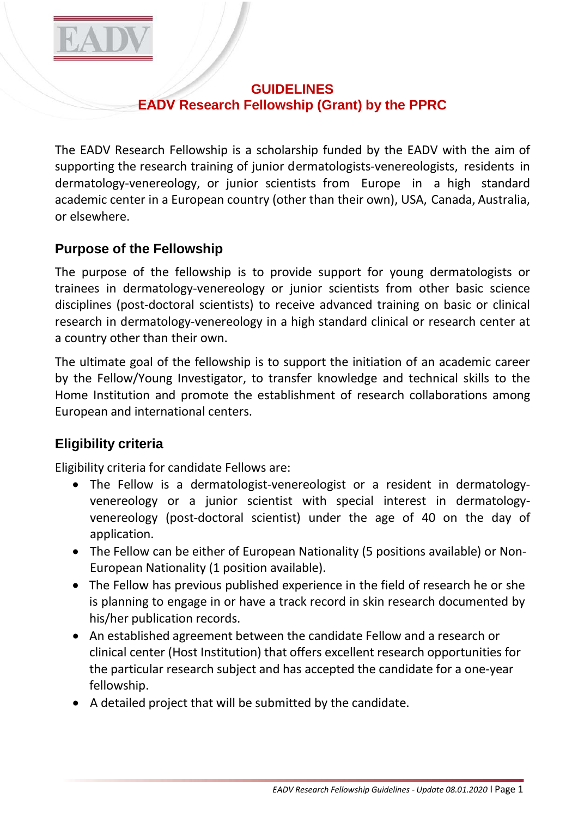

#### **GUIDELINES ΕΑDV Research Fellowship (Grant) by the PPRC**

The EADV Research Fellowship is a scholarship funded by the EADV with the aim of supporting the research training of junior dermatologists‐venereologists, residents in dermatology‐venereology, or junior scientists from Europe in a high standard academic center in a European country (other than their own), USA, Canada, Australia, or elsewhere.

#### **Purpose of the Fellowship**

The purpose of the fellowship is to provide support for young dermatologists or trainees in dermatology‐venereology or junior scientists from other basic science disciplines (post‐doctoral scientists) to receive advanced training on basic or clinical research in dermatology-venereology in a high standard clinical or research center at a country other than their own.

The ultimate goal of the fellowship is to support the initiation of an academic career by the Fellow/Young Investigator, to transfer knowledge and technical skills to the Home Institution and promote the establishment of research collaborations among European and international centers.

## **Eligibility criteria**

Eligibility criteria for candidate Fellows are:

- The Fellow is a dermatologist‐venereologist or a resident in dermatologyvenereology or a junior scientist with special interest in dermatology‐ venereology (post-doctoral scientist) under the age of 40 on the day of application.
- The Fellow can be either of European Nationality (5 positions available) or Non-European Nationality (1 position available).
- The Fellow has previous published experience in the field of research he or she is planning to engage in or have a track record in skin research documented by his/her publication records.
- An established agreement between the candidate Fellow and a research or clinical center (Host Institution) that offers excellent research opportunities for the particular research subject and has accepted the candidate for a one-year fellowship.
- A detailed project that will be submitted by the candidate.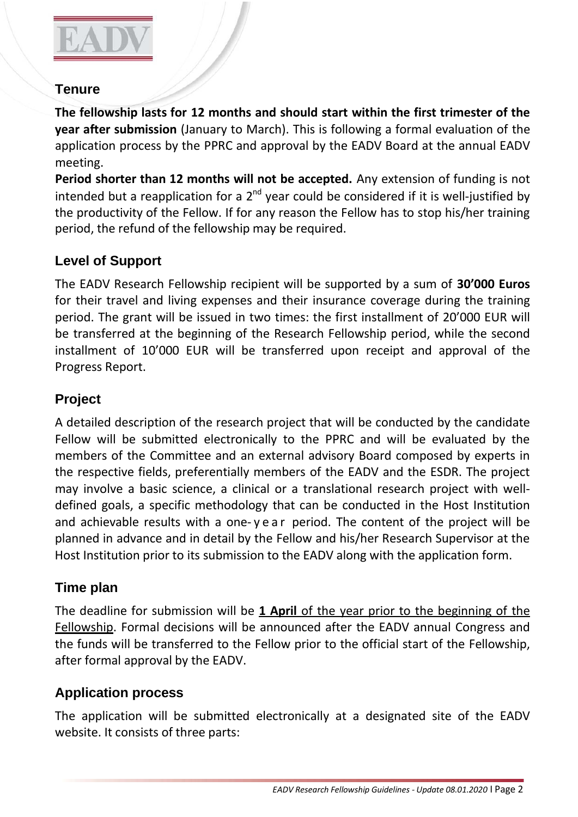

## **Tenure**

**The fellowship lasts for 12 months and should start within the first trimester of the year after submission** (January to March). This is following a formal evaluation of the application process by the PPRC and approval by the EADV Board at the annual EADV meeting.

**Period shorter than 12 months will not be accepted.** Any extension of funding is not intended but a reapplication for a  $2^{nd}$  year could be considered if it is well-justified by the productivity of the Fellow. If for any reason the Fellow has to stop his/her training period, the refund of the fellowship may be required.

# **Level of Support**

The EADV Research Fellowship recipient will be supported by a sum of **30'000 Euros** for their travel and living expenses and their insurance coverage during the training period. The grant will be issued in two times: the first installment of 20'000 EUR will be transferred at the beginning of the Research Fellowship period, while the second installment of 10'000 EUR will be transferred upon receipt and approval of the Progress Report.

## **Project**

A detailed description of the research project that will be conducted by the candidate Fellow will be submitted electronically to the PPRC and will be evaluated by the members of the Committee and an external advisory Board composed by experts in the respective fields, preferentially members of the EADV and the ESDR. The project may involve a basic science, a clinical or a translational research project with well‐ defined goals, a specific methodology that can be conducted in the Host Institution and achievable results with a one- year period. The content of the project will be planned in advance and in detail by the Fellow and his/her Research Supervisor at the Host Institution prior to its submission to the EADV along with the application form.

## **Time plan**

The deadline for submission will be **1 April** of the year prior to the beginning of the Fellowship. Formal decisions will be announced after the EADV annual Congress and the funds will be transferred to the Fellow prior to the official start of the Fellowship, after formal approval by the EADV.

## **Application process**

The application will be submitted electronically at a designated site of the EADV website. It consists of three parts: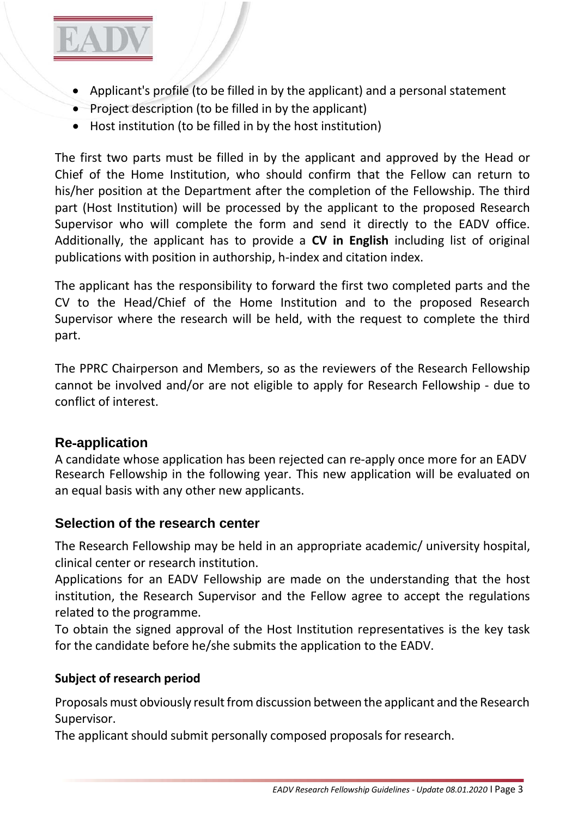

- Applicant's profile (to be filled in by the applicant) and a personal statement
- Project description (to be filled in by the applicant)
- Host institution (to be filled in by the host institution)

The first two parts must be filled in by the applicant and approved by the Head or Chief of the Home Institution, who should confirm that the Fellow can return to his/her position at the Department after the completion of the Fellowship. The third part (Host Institution) will be processed by the applicant to the proposed Research Supervisor who will complete the form and send it directly to the EADV office. Additionally, the applicant has to provide a **CV in English** including list of original publications with position in authorship, h‐index and citation index.

The applicant has the responsibility to forward the first two completed parts and the CV to the Head/Chief of the Home Institution and to the proposed Research Supervisor where the research will be held, with the request to complete the third part.

The PPRC Chairperson and Members, so as the reviewers of the Research Fellowship cannot be involved and/or are not eligible to apply for Research Fellowship - due to conflict of interest.

#### **Re**‐**application**

A candidate whose application has been rejected can re‐apply once more for an EADV Research Fellowship in the following year. This new application will be evaluated on an equal basis with any other new applicants.

## **Selection of the research center**

The Research Fellowship may be held in an appropriate academic/ university hospital, clinical center or research institution.

Applications for an EADV Fellowship are made on the understanding that the host institution, the Research Supervisor and the Fellow agree to accept the regulations related to the programme.

To obtain the signed approval of the Host Institution representatives is the key task for the candidate before he/she submits the application to the EADV.

#### **Subject of research period**

Proposals must obviously result from discussion between the applicant and the Research Supervisor.

The applicant should submit personally composed proposals for research.